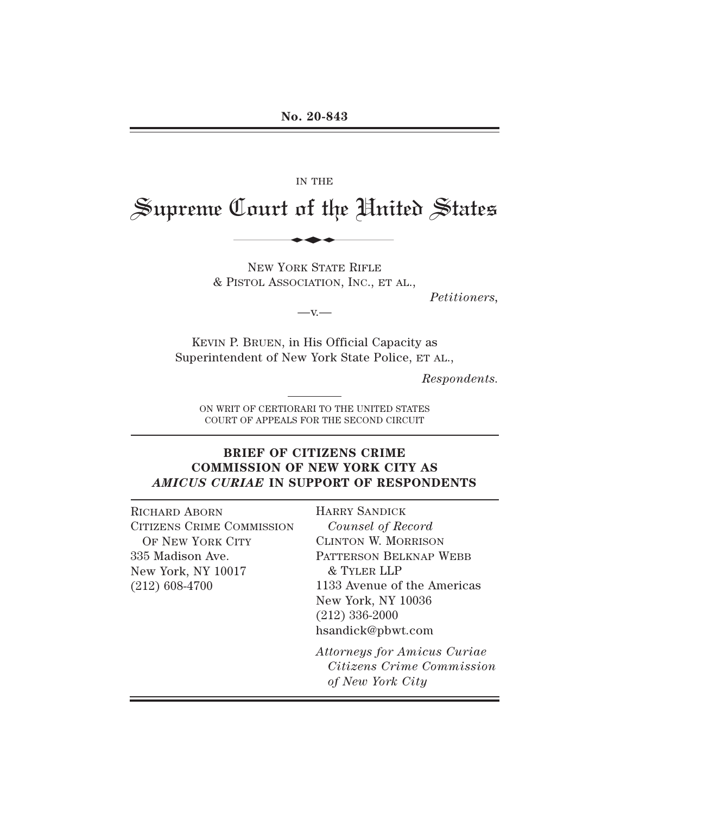#### IN THE

# Supreme Court of the United States IN THE LOLUTE OF SHOW IN THE

NEW YORK STATE RIFLE & PISTOL ASSOCIATION, INC., ET AL.,

*Petitioners,* 

 $-v -$ 

KEVIN P. BRUEN, in His Official Capacity as Superintendent of New York State Police, ET AL.,

*Respondents.* 

ON WRIT OF CERTIORARI TO THE UNITED STATES COURT OF APPEALS FOR THE SECOND CIRCUIT

### **BRIEF OF CITIZENS CRIME COMMISSION OF NEW YORK CITY AS**  *AMICUS CURIAE* **IN SUPPORT OF RESPONDENTS**

RICHARD ABORN CITIZENS CRIME COMMISSION OF NEW YORK CITY 335 Madison Ave. New York, NY 10017 (212) 608-4700

HARRY SANDICK *Counsel of Record*  CLINTON W. MORRISON PATTERSON BELKNAP WEBB & TYLER LLP 1133 Avenue of the Americas New York, NY 10036 (212) 336-2000 hsandick@pbwt.com

*Attorneys for Amicus Curiae Citizens Crime Commission of New York City*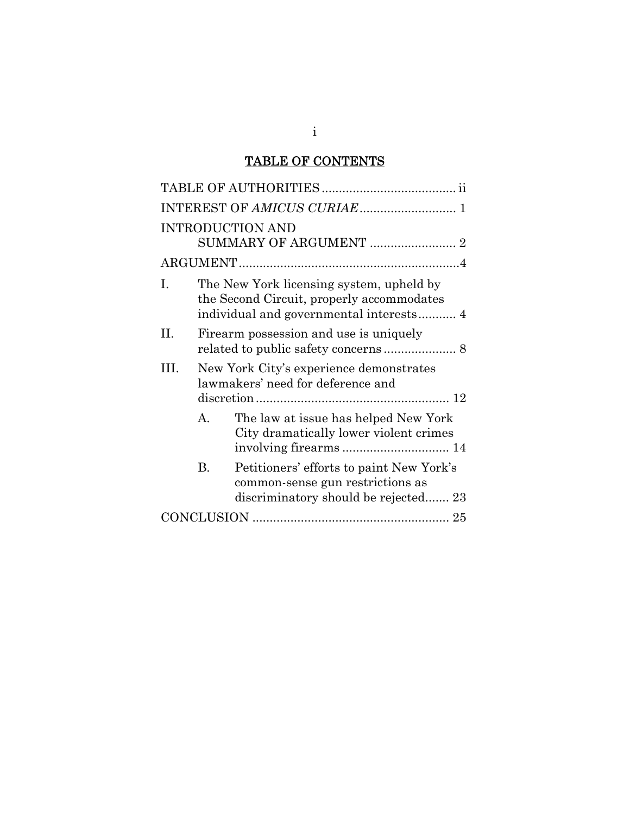# TABLE OF CONTENTS

|     |    | <b>INTRODUCTION AND</b>                                                                                                          |
|-----|----|----------------------------------------------------------------------------------------------------------------------------------|
|     |    |                                                                                                                                  |
| Ι.  |    | The New York licensing system, upheld by<br>the Second Circuit, properly accommodates<br>individual and governmental interests 4 |
| Η.  |    | Firearm possession and use is uniquely                                                                                           |
| HL. |    | New York City's experience demonstrates<br>lawmakers' need for deference and                                                     |
|     | А. | The law at issue has helped New York<br>City dramatically lower violent crimes                                                   |
|     | В. | Petitioners' efforts to paint New York's<br>common-sense gun restrictions as<br>discriminatory should be rejected 23             |
|     |    |                                                                                                                                  |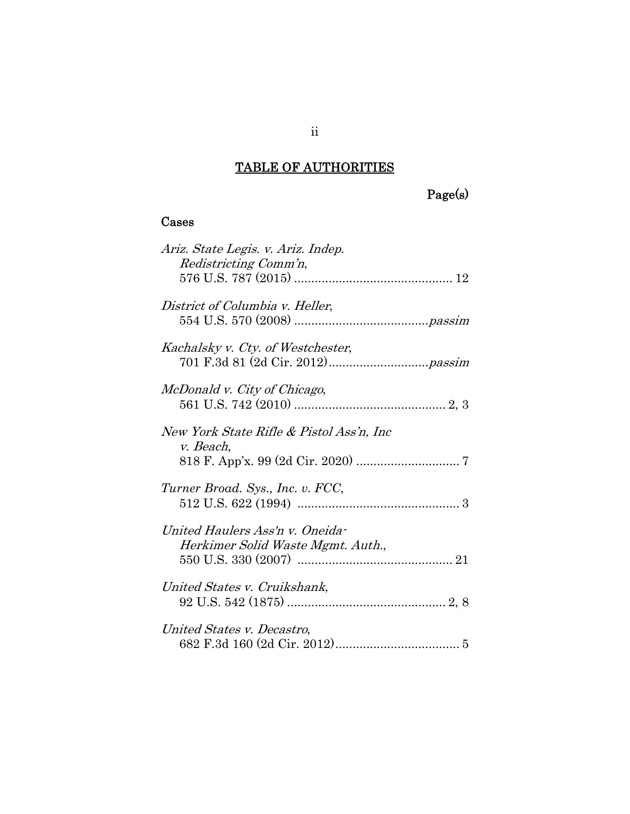# TABLE OF AUTHORITIES

Page(s)

## Cases

| Ariz. State Legis. v. Ariz. Indep.<br>Redistricting Comm'n,          |  |
|----------------------------------------------------------------------|--|
| District of Columbia v. Heller,                                      |  |
| Kachalsky v. Cty. of Westchester,                                    |  |
| McDonald v. City of Chicago,                                         |  |
| New York State Rifle & Pistol Ass'n, Inc<br>v. Beach,                |  |
| Turner Broad. Sys., Inc. v. FCC,                                     |  |
| United Haulers Ass'n v. Oneida-<br>Herkimer Solid Waste Mgmt. Auth., |  |
| United States v. Cruikshank,                                         |  |
| United States v. Decastro,                                           |  |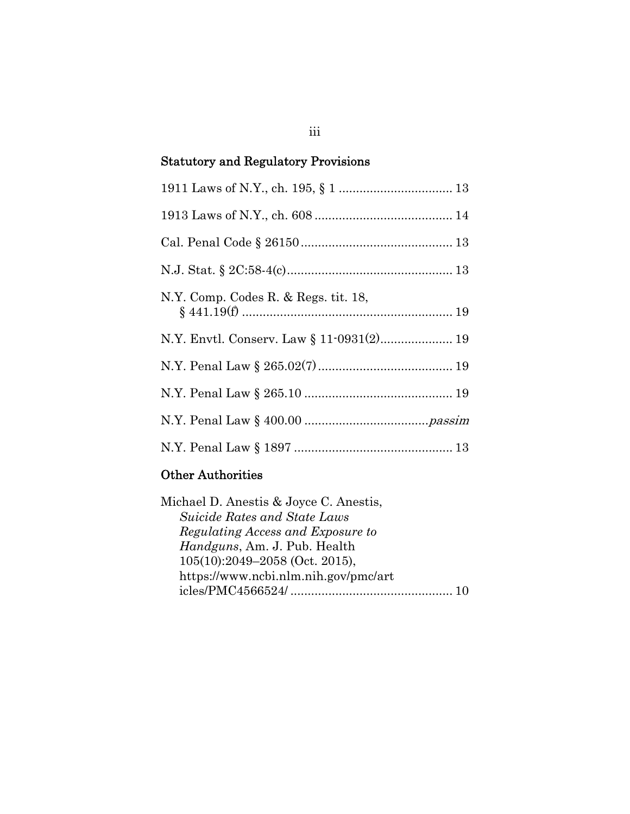# Statutory and Regulatory Provisions

| N.Y. Comp. Codes R. & Regs. tit. 18,     |
|------------------------------------------|
| N.Y. Envtl. Conserv. Law § 11-0931(2) 19 |
|                                          |
|                                          |
|                                          |
|                                          |

# Other Authorities

| Suicide Rates and State Laws<br>Regulating Access and Exposure to |
|-------------------------------------------------------------------|
|                                                                   |
|                                                                   |
| <i>Handguns, Am. J. Pub. Health</i>                               |
| $105(10):2049-2058$ (Oct. 2015),                                  |
| https://www.ncbi.nlm.nih.gov/pmc/art                              |
|                                                                   |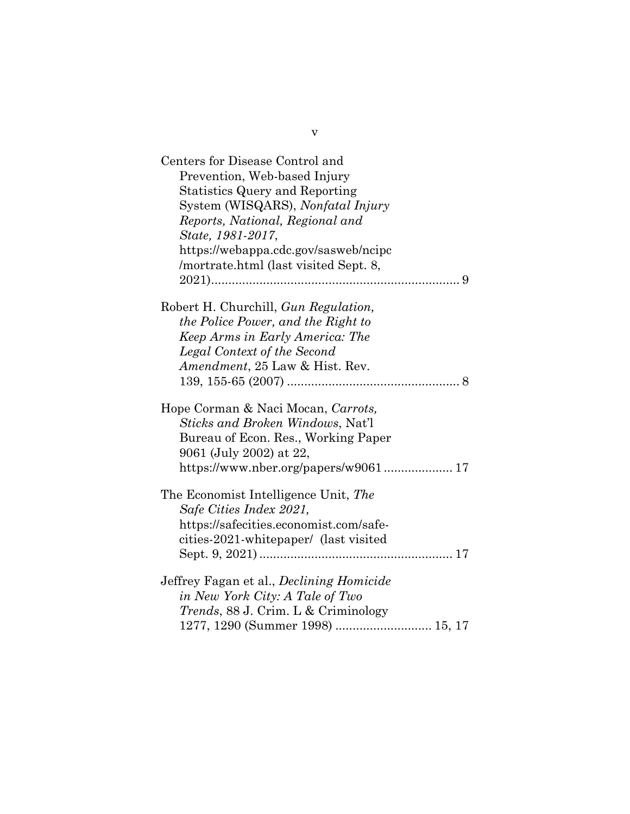| Centers for Disease Control and                 |
|-------------------------------------------------|
| Prevention, Web-based Injury                    |
| <b>Statistics Query and Reporting</b>           |
| System (WISQARS), Nonfatal Injury               |
| Reports, National, Regional and                 |
| State, 1981-2017,                               |
| https://webappa.cdc.gov/sasweb/ncipc            |
| /mortrate.html (last visited Sept. 8,           |
| 9                                               |
| Robert H. Churchill, Gun Regulation,            |
| the Police Power, and the Right to              |
| Keep Arms in Early America: The                 |
| Legal Context of the Second                     |
| <i>Amendment</i> , 25 Law & Hist. Rev.          |
|                                                 |
| Hope Corman & Naci Mocan, Carrots,              |
| <i>Sticks and Broken Windows, Nat'l</i>         |
| Bureau of Econ. Res., Working Paper             |
| 9061 (July 2002) at 22,                         |
| https://www.nber.org/papers/w9061 17            |
| The Economist Intelligence Unit, The            |
| Safe Cities Index 2021,                         |
| https://safecities.economist.com/safe-          |
| cities-2021-whitepaper/ (last visited           |
|                                                 |
| Jeffrey Fagan et al., <i>Declining Homicide</i> |
| in New York City: A Tale of Two                 |
| <i>Trends</i> , 88 J. Crim. L & Criminology     |
| 1277, 1290 (Summer 1998)  15, 17                |

v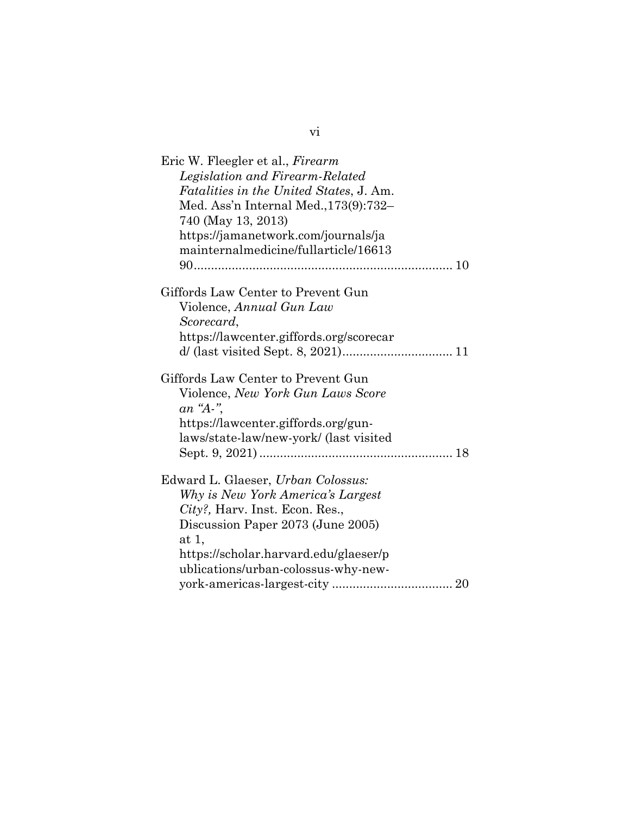| Eric W. Fleegler et al., Firearm               |
|------------------------------------------------|
| Legislation and Firearm-Related                |
| <i>Fatalities in the United States, J. Am.</i> |
| Med. Ass'n Internal Med., 173(9): 732-         |
| 740 (May 13, 2013)                             |
| https://jamanetwork.com/journals/ja            |
| mainternalmedicine/fullarticle/16613           |
|                                                |
|                                                |
| Giffords Law Center to Prevent Gun             |
| Violence, Annual Gun Law                       |
| Scorecard,                                     |
| https://lawcenter.giffords.org/scorecar        |
|                                                |
|                                                |
| Giffords Law Center to Prevent Gun             |
| Violence, New York Gun Laws Score              |
| an "A-",                                       |
| https://lawcenter.giffords.org/gun-            |
| laws/state-law/new-york/ (last visited         |
|                                                |
|                                                |
| Edward L. Glaeser, Urban Colossus:             |
| Why is New York America's Largest              |
| City?, Harv. Inst. Econ. Res.,                 |
| Discussion Paper 2073 (June 2005)              |
| at 1,                                          |
| https://scholar.harvard.edu/glaeser/p          |
| ublications/urban-colossus-why-new-            |
|                                                |

vi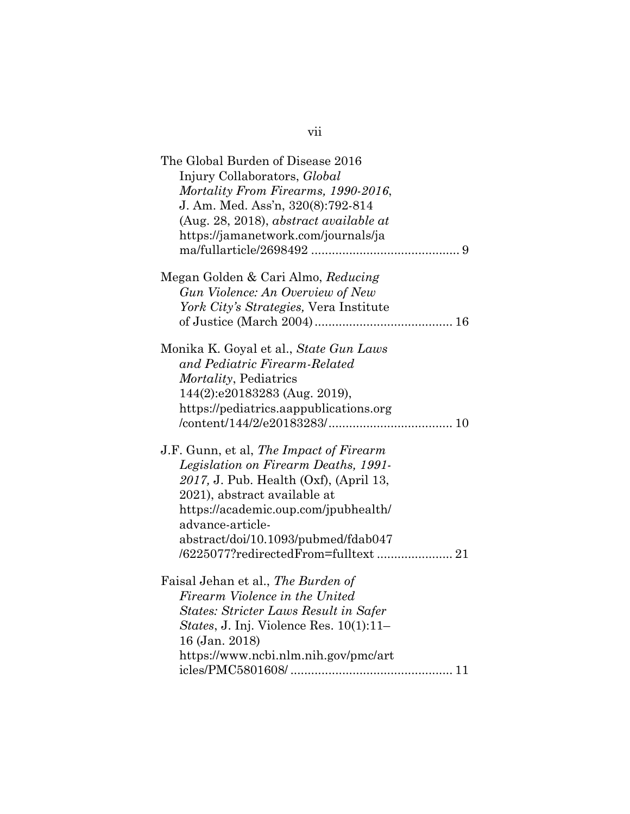| The Global Burden of Disease 2016<br>Injury Collaborators, Global<br>Mortality From Firearms, 1990-2016,<br>J. Am. Med. Ass'n, 320(8):792-814<br>(Aug. 28, 2018), abstract available at<br>https://jamanetwork.com/journals/ja                               |
|--------------------------------------------------------------------------------------------------------------------------------------------------------------------------------------------------------------------------------------------------------------|
| Megan Golden & Cari Almo, Reducing<br>Gun Violence: An Overview of New<br>York City's Strategies, Vera Institute                                                                                                                                             |
| Monika K. Goyal et al., State Gun Laws<br>and Pediatric Firearm-Related<br><i>Mortality</i> , Pediatrics<br>144(2):e20183283 (Aug. 2019),<br>https://pediatrics.aappublications.org                                                                          |
| J.F. Gunn, et al, The Impact of Firearm<br>Legislation on Firearm Deaths, 1991-<br>2017, J. Pub. Health (Oxf), (April 13,<br>2021), abstract available at<br>https://academic.oup.com/jpubhealth/<br>advance-article-<br>abstract/doi/10.1093/pubmed/fdab047 |
| Faisal Jehan et al., The Burden of<br>Firearm Violence in the United<br><b>States: Stricter Laws Result in Safer</b><br>States, J. Inj. Violence Res. 10(1):11-<br>16 (Jan. 2018)<br>https://www.ncbi.nlm.nih.gov/pmc/art                                    |

vii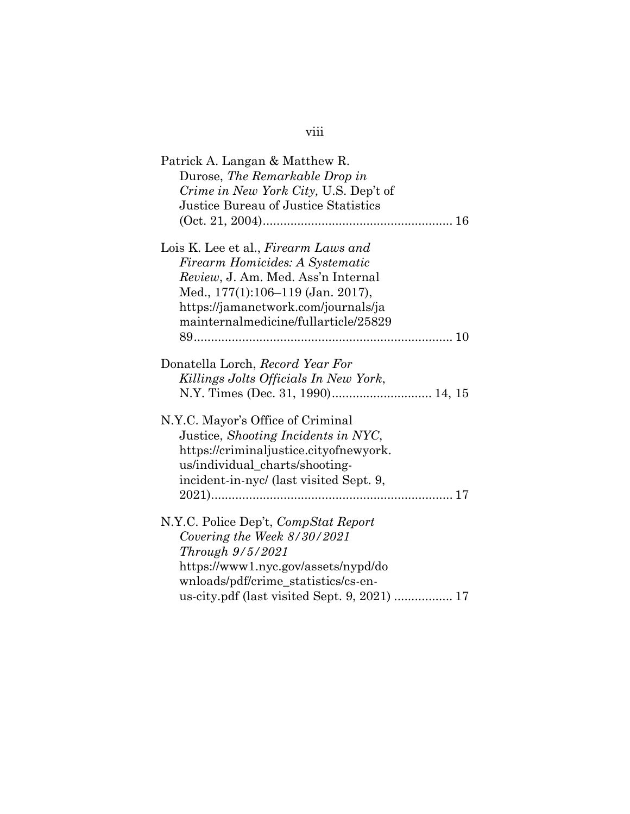| Patrick A. Langan & Matthew R.<br>Durose, The Remarkable Drop in<br>Crime in New York City, U.S. Dep't of<br>Justice Bureau of Justice Statistics |
|---------------------------------------------------------------------------------------------------------------------------------------------------|
|                                                                                                                                                   |
| Lois K. Lee et al., Firearm Laws and                                                                                                              |
| Firearm Homicides: A Systematic                                                                                                                   |
| Review, J. Am. Med. Ass'n Internal                                                                                                                |
| Med., 177(1):106-119 (Jan. 2017),                                                                                                                 |
| https://jamanetwork.com/journals/ja                                                                                                               |
| mainternalmedicine/fullarticle/25829                                                                                                              |
|                                                                                                                                                   |
| Donatella Lorch, Record Year For<br>Killings Jolts Officials In New York,                                                                         |
| N.Y.C. Mayor's Office of Criminal                                                                                                                 |
| Justice, Shooting Incidents in NYC,                                                                                                               |
| https://criminaljustice.cityofnewyork.                                                                                                            |
| us/individual_charts/shooting-                                                                                                                    |
| incident-in-nyc/ (last visited Sept. 9,                                                                                                           |
|                                                                                                                                                   |
| N.Y.C. Police Dep't, CompStat Report                                                                                                              |
| Covering the Week 8/30/2021                                                                                                                       |
| Through $9/5/2021$                                                                                                                                |
| https://www1.nyc.gov/assets/nypd/do                                                                                                               |
| wnloads/pdf/crime_statistics/cs-en-                                                                                                               |
| us-city.pdf (last visited Sept. 9, 2021)  17                                                                                                      |

# viii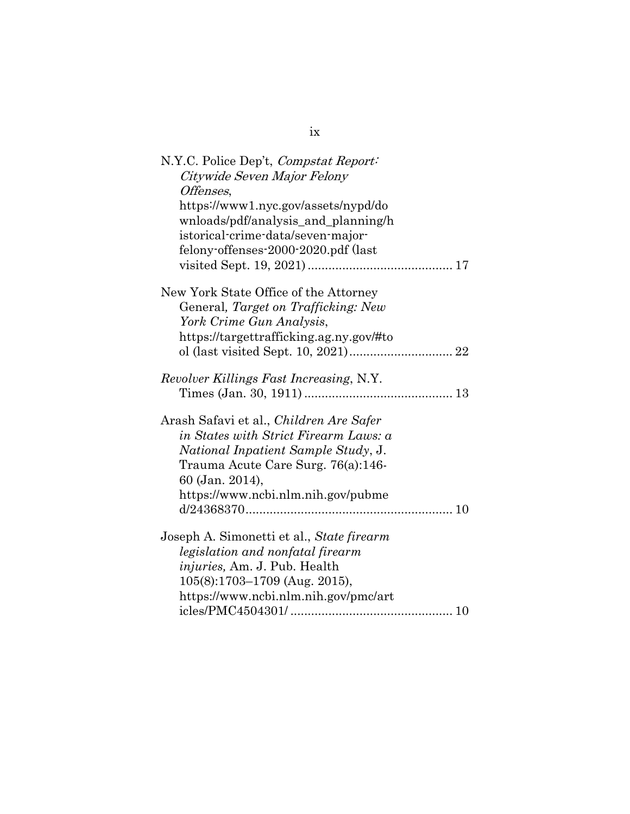| N.Y.C. Police Dep't, <i>Compstat Report</i><br>Citywide Seven Major Felony<br>Offenses,                                                                                                                                       |
|-------------------------------------------------------------------------------------------------------------------------------------------------------------------------------------------------------------------------------|
| https://www1.nyc.gov/assets/nypd/do<br>wnloads/pdf/analysis_and_planning/h<br>istorical-crime-data/seven-major-<br>felony-offenses-2000-2020.pdf (last                                                                        |
| New York State Office of the Attorney<br>General, Target on Trafficking: New<br>York Crime Gun Analysis,<br>https://targettrafficking.ag.ny.gov/#to                                                                           |
| Revolver Killings Fast Increasing, N.Y.                                                                                                                                                                                       |
| Arash Safavi et al., <i>Children Are Safer</i><br>in States with Strict Firearm Laws: a<br>National Inpatient Sample Study, J.<br>Trauma Acute Care Surg. 76(a):146-<br>60 (Jan. 2014),<br>https://www.ncbi.nlm.nih.gov/pubme |
| Joseph A. Simonetti et al., State firearm<br>legislation and nonfatal firearm<br><i>injuries, Am. J. Pub. Health</i><br>105(8):1703-1709 (Aug. 2015),<br>https://www.ncbi.nlm.nih.gov/pmc/art                                 |
|                                                                                                                                                                                                                               |

ix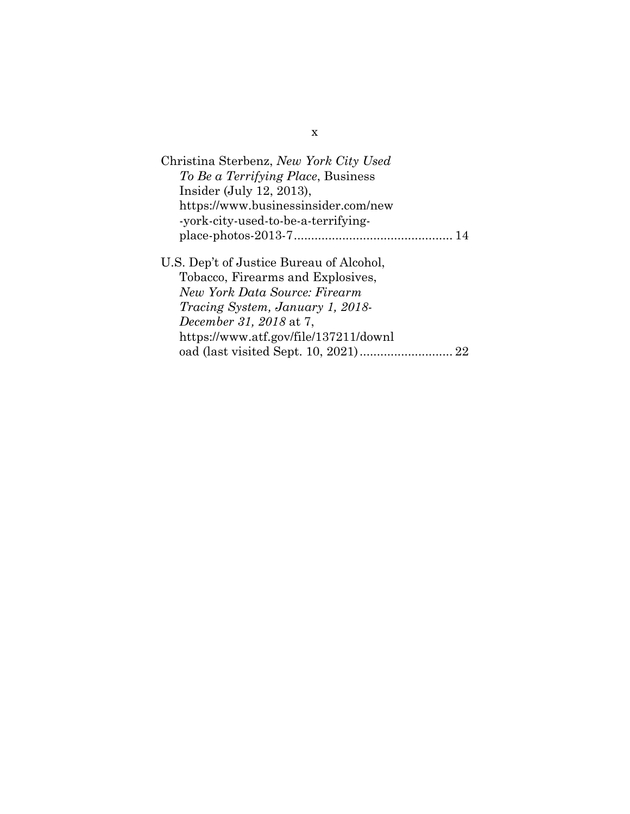| Christina Sterbenz, New York City Used   |
|------------------------------------------|
| To Be a Terrifying Place, Business       |
| Insider (July 12, 2013),                 |
| https://www.businessinsider.com/new      |
| -york-city-used-to-be-a-terrifying-      |
|                                          |
| U.S. Dep't of Justice Bureau of Alcohol, |
| Tobacco, Firearms and Explosives,        |
| New York Data Source: Firearm            |
| <i>Tracing System, January 1, 2018-</i>  |
| December 31, 2018 at 7,                  |
| https://www.atf.gov/file/137211/downl    |
|                                          |

x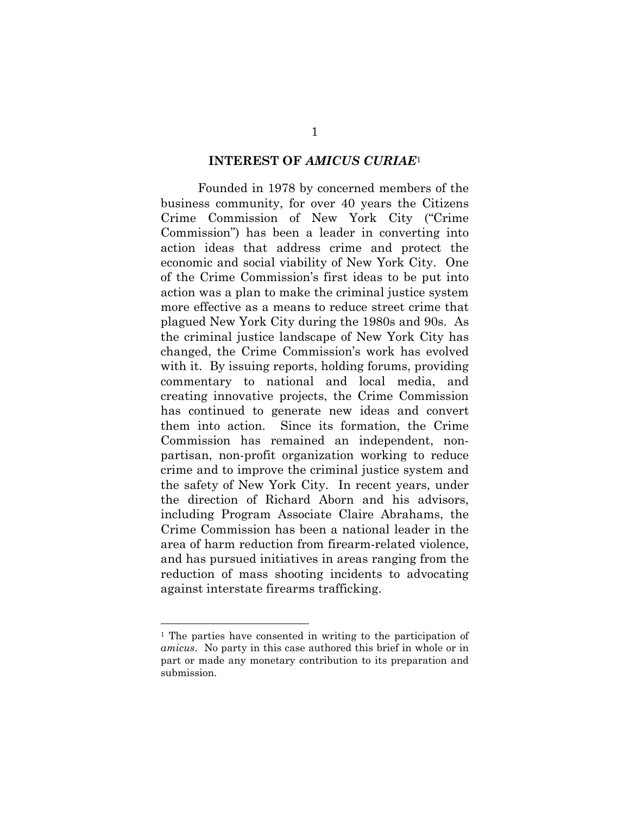#### **INTEREST OF** *AMICUS CURIAE*<sup>1</sup>

Founded in 1978 by concerned members of the business community, for over 40 years the Citizens Crime Commission of New York City ("Crime Commission") has been a leader in converting into action ideas that address crime and protect the economic and social viability of New York City. One of the Crime Commission's first ideas to be put into action was a plan to make the criminal justice system more effective as a means to reduce street crime that plagued New York City during the 1980s and 90s. As the criminal justice landscape of New York City has changed, the Crime Commission's work has evolved with it. By issuing reports, holding forums, providing commentary to national and local media, and creating innovative projects, the Crime Commission has continued to generate new ideas and convert them into action. Since its formation, the Crime Commission has remained an independent, nonpartisan, non-profit organization working to reduce crime and to improve the criminal justice system and the safety of New York City. In recent years, under the direction of Richard Aborn and his advisors, including Program Associate Claire Abrahams, the Crime Commission has been a national leader in the area of harm reduction from firearm-related violence, and has pursued initiatives in areas ranging from the reduction of mass shooting incidents to advocating against interstate firearms trafficking.

<sup>1</sup> The parties have consented in writing to the participation of *amicus*. No party in this case authored this brief in whole or in part or made any monetary contribution to its preparation and submission.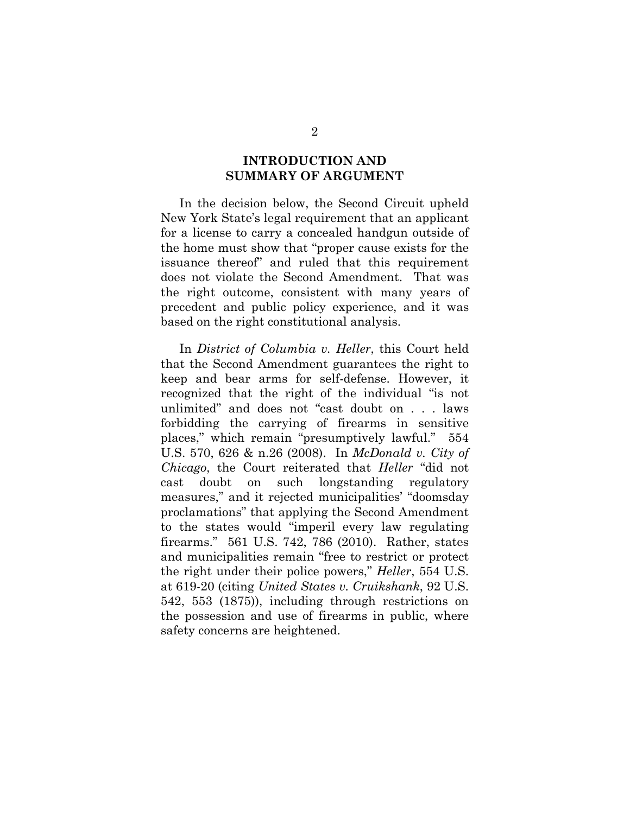#### **INTRODUCTION AND SUMMARY OF ARGUMENT**

In the decision below, the Second Circuit upheld New York State's legal requirement that an applicant for a license to carry a concealed handgun outside of the home must show that "proper cause exists for the issuance thereof" and ruled that this requirement does not violate the Second Amendment. That was the right outcome, consistent with many years of precedent and public policy experience, and it was based on the right constitutional analysis.

In *District of Columbia v. Heller*, this Court held that the Second Amendment guarantees the right to keep and bear arms for self-defense. However, it recognized that the right of the individual "is not unlimited" and does not "cast doubt on . . . laws forbidding the carrying of firearms in sensitive places," which remain "presumptively lawful." 554 U.S. 570, 626 & n.26 (2008). In *McDonald v. City of Chicago*, the Court reiterated that *Heller* "did not cast doubt on such longstanding regulatory measures," and it rejected municipalities' "doomsday proclamations" that applying the Second Amendment to the states would "imperil every law regulating firearms." 561 U.S. 742, 786 (2010). Rather, states and municipalities remain "free to restrict or protect the right under their police powers," *Heller*, 554 U.S. at 619-20 (citing *United States v. Cruikshank*, 92 U.S. 542, 553 (1875)), including through restrictions on the possession and use of firearms in public, where safety concerns are heightened.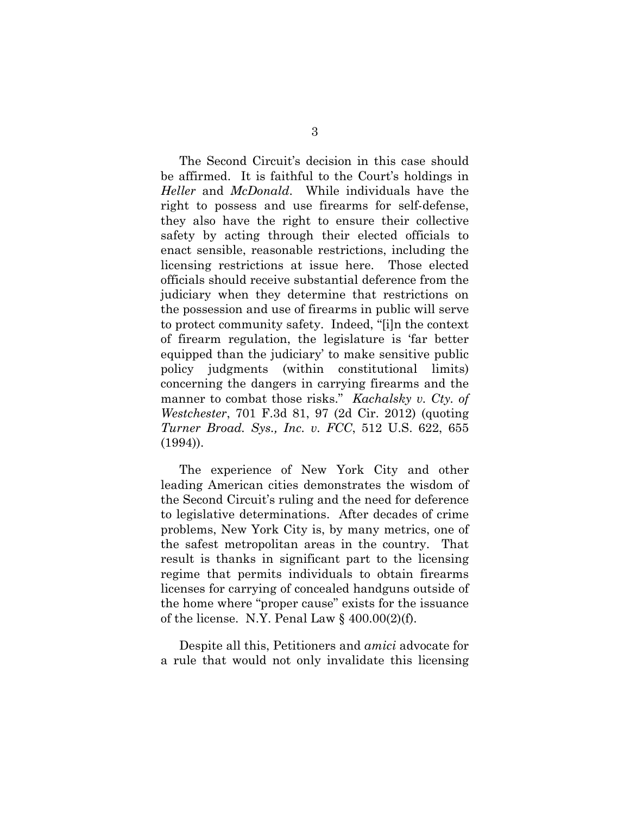The Second Circuit's decision in this case should be affirmed. It is faithful to the Court's holdings in *Heller* and *McDonald*. While individuals have the right to possess and use firearms for self-defense, they also have the right to ensure their collective safety by acting through their elected officials to enact sensible, reasonable restrictions, including the licensing restrictions at issue here. Those elected officials should receive substantial deference from the judiciary when they determine that restrictions on the possession and use of firearms in public will serve to protect community safety. Indeed, "[i]n the context of firearm regulation, the legislature is 'far better equipped than the judiciary' to make sensitive public policy judgments (within constitutional limits) concerning the dangers in carrying firearms and the manner to combat those risks." *Kachalsky v. Cty. of Westchester*, 701 F.3d 81, 97 (2d Cir. 2012) (quoting *Turner Broad. Sys., Inc. v. FCC*, 512 U.S. 622, 655 (1994)).

The experience of New York City and other leading American cities demonstrates the wisdom of the Second Circuit's ruling and the need for deference to legislative determinations. After decades of crime problems, New York City is, by many metrics, one of the safest metropolitan areas in the country. That result is thanks in significant part to the licensing regime that permits individuals to obtain firearms licenses for carrying of concealed handguns outside of the home where "proper cause" exists for the issuance of the license. N.Y. Penal Law  $\S$  400.00(2)(f).

Despite all this, Petitioners and *amici* advocate for a rule that would not only invalidate this licensing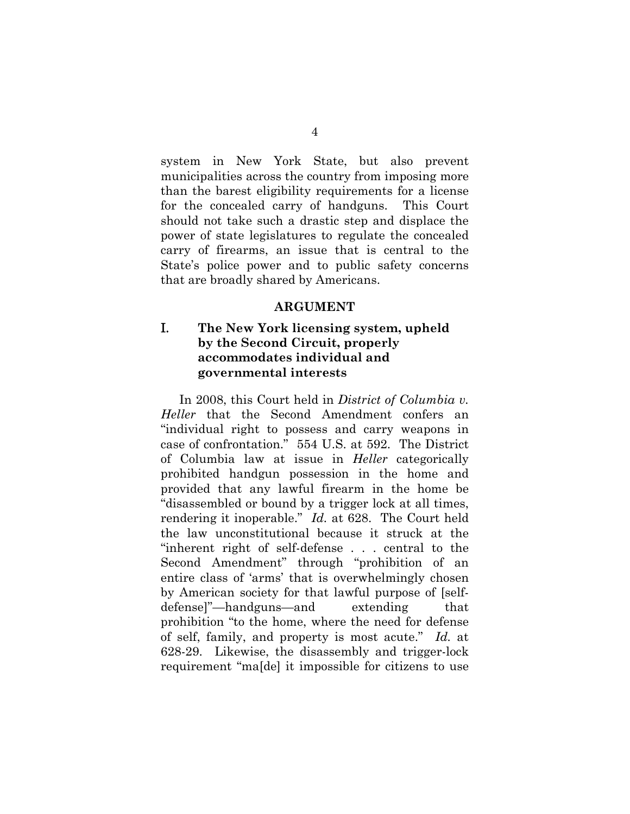system in New York State, but also prevent municipalities across the country from imposing more than the barest eligibility requirements for a license for the concealed carry of handguns. This Court should not take such a drastic step and displace the power of state legislatures to regulate the concealed carry of firearms, an issue that is central to the State's police power and to public safety concerns that are broadly shared by Americans.

#### **ARGUMENT**

## I. **The New York licensing system, upheld by the Second Circuit, properly accommodates individual and governmental interests**

In 2008, this Court held in *District of Columbia v. Heller* that the Second Amendment confers an "individual right to possess and carry weapons in case of confrontation." 554 U.S. at 592. The District of Columbia law at issue in *Heller* categorically prohibited handgun possession in the home and provided that any lawful firearm in the home be "disassembled or bound by a trigger lock at all times, rendering it inoperable." *Id.* at 628. The Court held the law unconstitutional because it struck at the "inherent right of self-defense . . . central to the Second Amendment" through "prohibition of an entire class of 'arms' that is overwhelmingly chosen by American society for that lawful purpose of [selfdefense]"—handguns—and extending that prohibition "to the home, where the need for defense of self, family, and property is most acute." *Id.* at 628-29. Likewise, the disassembly and trigger-lock requirement "ma[de] it impossible for citizens to use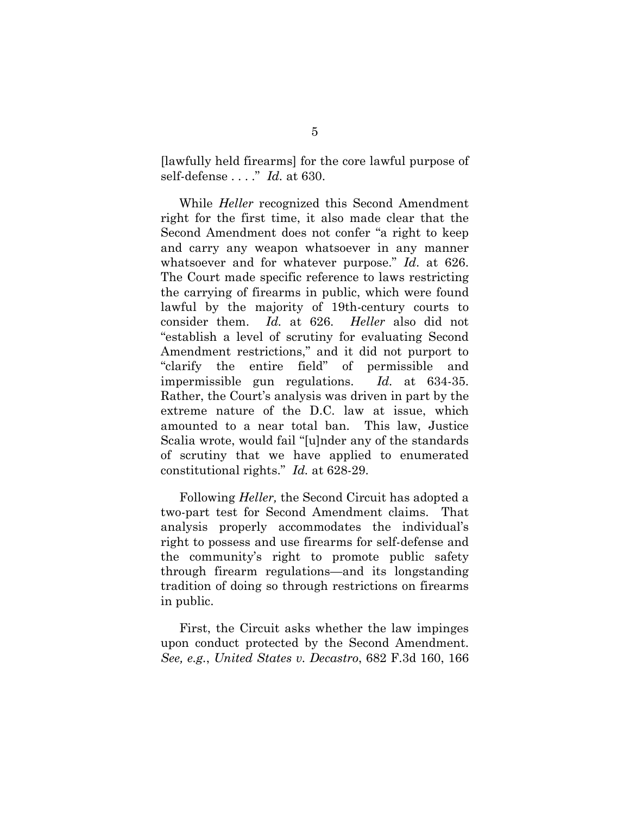[lawfully held firearms] for the core lawful purpose of self-defense . . . ." *Id.* at 630.

While *Heller* recognized this Second Amendment right for the first time, it also made clear that the Second Amendment does not confer "a right to keep and carry any weapon whatsoever in any manner whatsoever and for whatever purpose." *Id*. at 626. The Court made specific reference to laws restricting the carrying of firearms in public, which were found lawful by the majority of 19th-century courts to consider them. *Id.* at 626. *Heller* also did not "establish a level of scrutiny for evaluating Second Amendment restrictions," and it did not purport to "clarify the entire field" of permissible and impermissible gun regulations. *Id.* at 634-35. Rather, the Court's analysis was driven in part by the extreme nature of the D.C. law at issue, which amounted to a near total ban. This law, Justice Scalia wrote, would fail "[u]nder any of the standards of scrutiny that we have applied to enumerated constitutional rights." *Id.* at 628-29.

Following *Heller,* the Second Circuit has adopted a two-part test for Second Amendment claims. That analysis properly accommodates the individual's right to possess and use firearms for self-defense and the community's right to promote public safety through firearm regulations—and its longstanding tradition of doing so through restrictions on firearms in public.

First, the Circuit asks whether the law impinges upon conduct protected by the Second Amendment. *See, e.g.*, *United States v. Decastro*, 682 F.3d 160, 166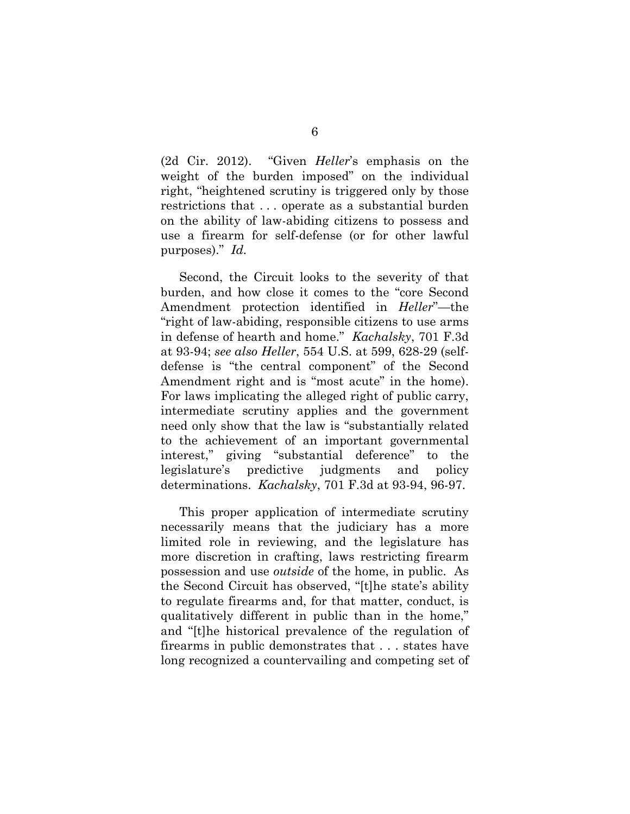(2d Cir. 2012). "Given *Heller*'s emphasis on the weight of the burden imposed" on the individual right, "heightened scrutiny is triggered only by those restrictions that . . . operate as a substantial burden on the ability of law-abiding citizens to possess and use a firearm for self-defense (or for other lawful purposes)." *Id.*

Second, the Circuit looks to the severity of that burden, and how close it comes to the "core Second Amendment protection identified in *Heller*"—the "right of law-abiding, responsible citizens to use arms in defense of hearth and home." *Kachalsky*, 701 F.3d at 93-94; *see also Heller*, 554 U.S. at 599, 628-29 (selfdefense is "the central component" of the Second Amendment right and is "most acute" in the home). For laws implicating the alleged right of public carry, intermediate scrutiny applies and the government need only show that the law is "substantially related to the achievement of an important governmental interest," giving "substantial deference" to the legislature's predictive judgments and policy determinations. *Kachalsky*, 701 F.3d at 93-94, 96-97.

This proper application of intermediate scrutiny necessarily means that the judiciary has a more limited role in reviewing, and the legislature has more discretion in crafting, laws restricting firearm possession and use *outside* of the home, in public. As the Second Circuit has observed, "[t]he state's ability to regulate firearms and, for that matter, conduct, is qualitatively different in public than in the home," and "[t]he historical prevalence of the regulation of firearms in public demonstrates that . . . states have long recognized a countervailing and competing set of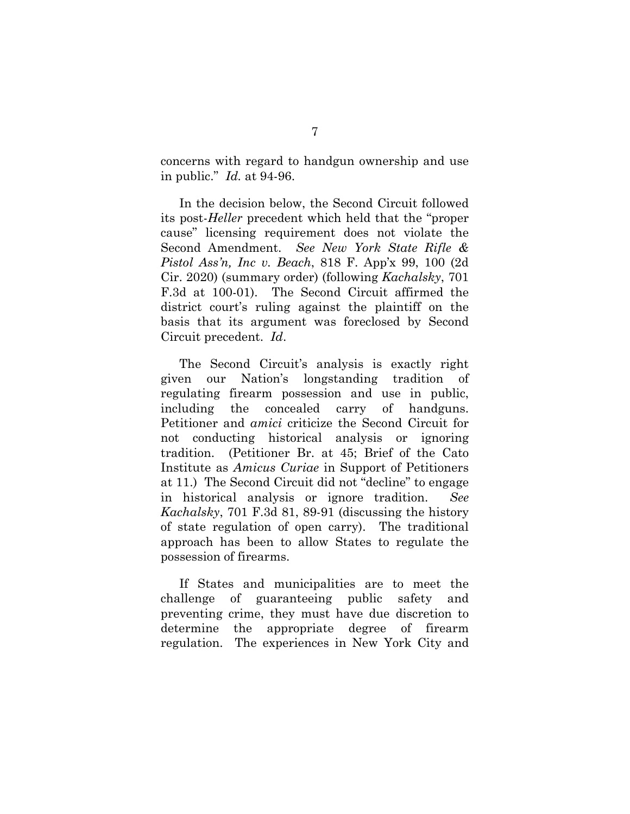concerns with regard to handgun ownership and use in public." *Id.* at 94-96.

In the decision below, the Second Circuit followed its post-*Heller* precedent which held that the "proper cause" licensing requirement does not violate the Second Amendment. *See New York State Rifle & Pistol Ass'n, Inc v. Beach*, 818 F. App'x 99, 100 (2d Cir. 2020) (summary order) (following *Kachalsky*, 701 F.3d at 100-01). The Second Circuit affirmed the district court's ruling against the plaintiff on the basis that its argument was foreclosed by Second Circuit precedent. *Id*.

The Second Circuit's analysis is exactly right given our Nation's longstanding tradition of regulating firearm possession and use in public, including the concealed carry of handguns. Petitioner and *amici* criticize the Second Circuit for not conducting historical analysis or ignoring tradition. (Petitioner Br. at 45; Brief of the Cato Institute as *Amicus Curiae* in Support of Petitioners at 11.) The Second Circuit did not "decline" to engage in historical analysis or ignore tradition. *See Kachalsky*, 701 F.3d 81, 89-91 (discussing the history of state regulation of open carry). The traditional approach has been to allow States to regulate the possession of firearms.

If States and municipalities are to meet the challenge of guaranteeing public safety and preventing crime, they must have due discretion to determine the appropriate degree of firearm regulation. The experiences in New York City and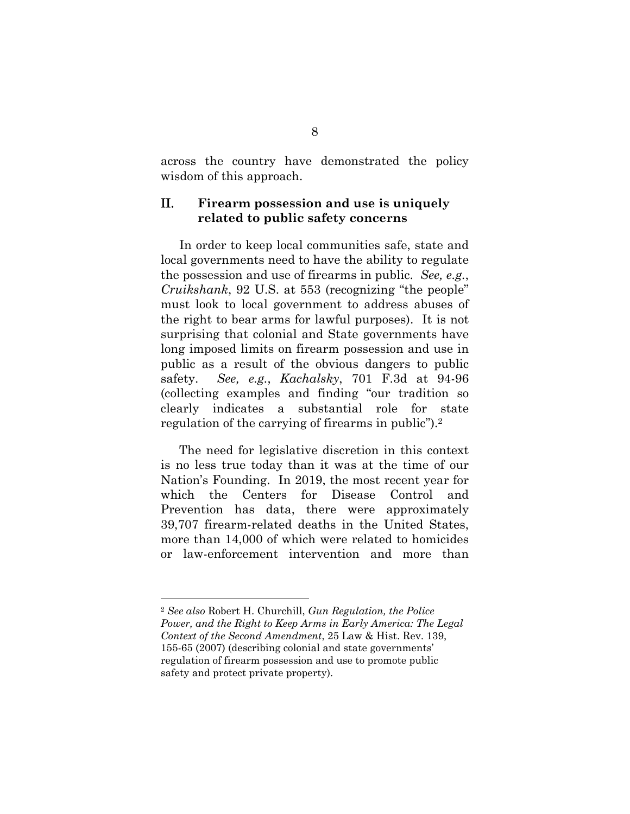across the country have demonstrated the policy wisdom of this approach.

#### II. **Firearm possession and use is uniquely related to public safety concerns**

In order to keep local communities safe, state and local governments need to have the ability to regulate the possession and use of firearms in public. *See, e.g.*, *Cruikshank*, 92 U.S. at 553 (recognizing "the people" must look to local government to address abuses of the right to bear arms for lawful purposes). It is not surprising that colonial and State governments have long imposed limits on firearm possession and use in public as a result of the obvious dangers to public safety. *See, e.g.*, *Kachalsky*, 701 F.3d at 94-96 (collecting examples and finding "our tradition so clearly indicates a substantial role for state regulation of the carrying of firearms in public").2

The need for legislative discretion in this context is no less true today than it was at the time of our Nation's Founding. In 2019, the most recent year for which the Centers for Disease Control and Prevention has data, there were approximately 39,707 firearm-related deaths in the United States, more than 14,000 of which were related to homicides or law-enforcement intervention and more than

<sup>2</sup> *See also* Robert H. Churchill, *Gun Regulation, the Police Power, and the Right to Keep Arms in Early America: The Legal Context of the Second Amendment*, 25 Law & Hist. Rev. 139, 155-65 (2007) (describing colonial and state governments' regulation of firearm possession and use to promote public safety and protect private property).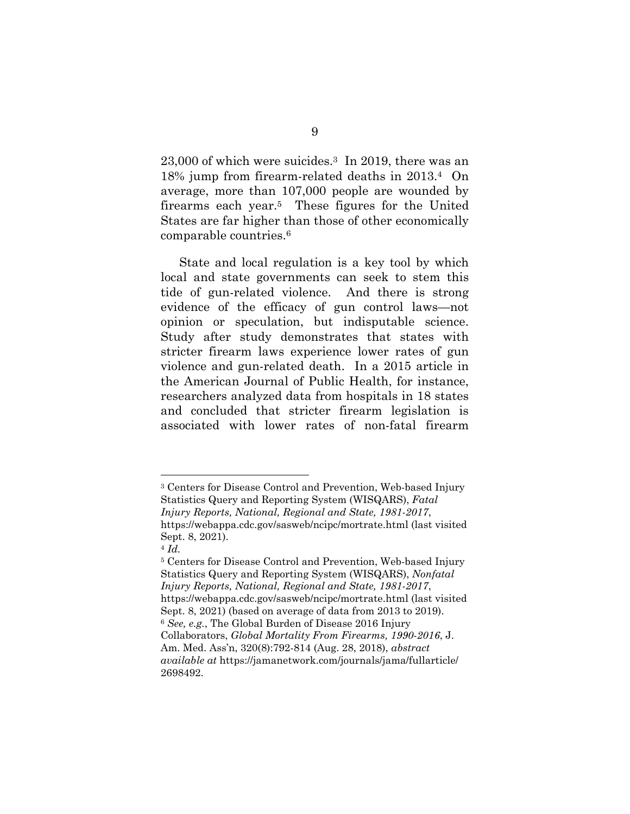23,000 of which were suicides.3 In 2019, there was an 18% jump from firearm-related deaths in 2013.4 On average, more than 107,000 people are wounded by firearms each year.5 These figures for the United States are far higher than those of other economically comparable countries.6

State and local regulation is a key tool by which local and state governments can seek to stem this tide of gun-related violence. And there is strong evidence of the efficacy of gun control laws—not opinion or speculation, but indisputable science. Study after study demonstrates that states with stricter firearm laws experience lower rates of gun violence and gun-related death. In a 2015 article in the American Journal of Public Health, for instance, researchers analyzed data from hospitals in 18 states and concluded that stricter firearm legislation is associated with lower rates of non-fatal firearm

<sup>3</sup> Centers for Disease Control and Prevention, Web-based Injury Statistics Query and Reporting System (WISQARS), *Fatal Injury Reports, National, Regional and State, 1981-2017*, https://webappa.cdc.gov/sasweb/ncipc/mortrate.html (last visited Sept. 8, 2021).

<sup>4</sup> *Id.*

<sup>5</sup> Centers for Disease Control and Prevention, Web-based Injury Statistics Query and Reporting System (WISQARS), *Nonfatal Injury Reports, National, Regional and State, 1981-2017*, https://webappa.cdc.gov/sasweb/ncipc/mortrate.html (last visited Sept. 8, 2021) (based on average of data from 2013 to 2019). <sup>6</sup> *See, e.g.*, The Global Burden of Disease 2016 Injury Collaborators, *Global Mortality From Firearms, 1990-2016*, J. Am. Med. Ass'n, 320(8):792-814 (Aug. 28, 2018), *abstract available at* https://jamanetwork.com/journals/jama/fullarticle/ 2698492.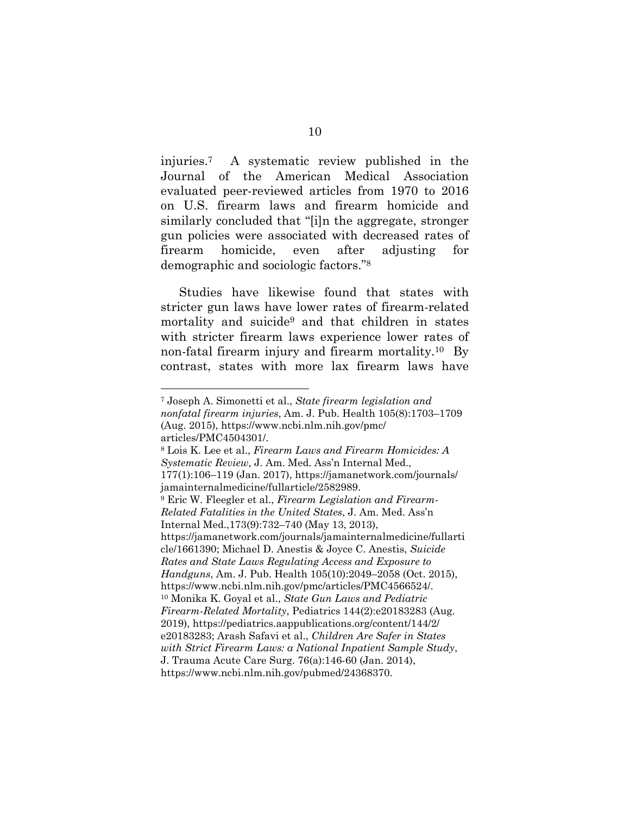injuries.7 A systematic review published in the Journal of the American Medical Association evaluated peer-reviewed articles from 1970 to 2016 on U.S. firearm laws and firearm homicide and similarly concluded that "[i]n the aggregate, stronger gun policies were associated with decreased rates of firearm homicide, even after adjusting for demographic and sociologic factors."8

Studies have likewise found that states with stricter gun laws have lower rates of firearm-related mortality and suicide9 and that children in states with stricter firearm laws experience lower rates of non-fatal firearm injury and firearm mortality.10 By contrast, states with more lax firearm laws have

<sup>7</sup> Joseph A. Simonetti et al., *State firearm legislation and nonfatal firearm injuries*, Am. J. Pub. Health 105(8):1703–1709 (Aug. 2015), https://www.ncbi.nlm.nih.gov/pmc/ articles/PMC4504301/.

<sup>8</sup> Lois K. Lee et al., *Firearm Laws and Firearm Homicides: A Systematic Review*, J. Am. Med. Ass'n Internal Med., 177(1):106–119 (Jan. 2017), https://jamanetwork.com/journals/ jamainternalmedicine/fullarticle/2582989. 9 Eric W. Fleegler et al., *Firearm Legislation and Firearm-Related Fatalities in the United States*, J. Am. Med. Ass'n Internal Med.,173(9):732–740 (May 13, 2013), https://jamanetwork.com/journals/jamainternalmedicine/fullarti cle/1661390; Michael D. Anestis & Joyce C. Anestis, *Suicide Rates and State Laws Regulating Access and Exposure to Handguns*, Am. J. Pub. Health 105(10):2049–2058 (Oct. 2015), https://www.ncbi.nlm.nih.gov/pmc/articles/PMC4566524/. 10 Monika K. Goyal et al., *State Gun Laws and Pediatric Firearm-Related Mortality*, Pediatrics 144(2):e20183283 (Aug. 2019), https://pediatrics.aappublications.org/content/144/2/ e20183283; Arash Safavi et al., *Children Are Safer in States with Strict Firearm Laws: a National Inpatient Sample Study*, J. Trauma Acute Care Surg. 76(a):146-60 (Jan. 2014), https://www.ncbi.nlm.nih.gov/pubmed/24368370.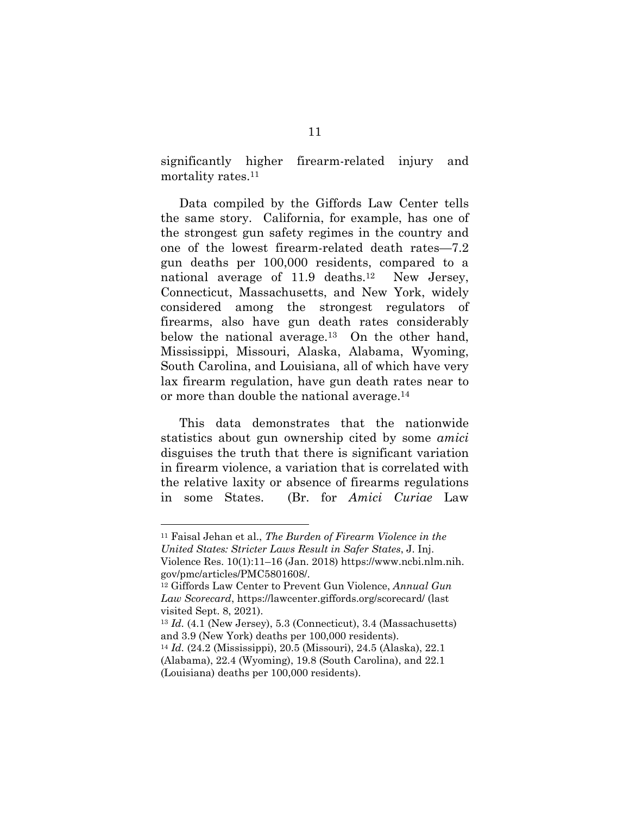significantly higher firearm-related injury and mortality rates.<sup>11</sup>

Data compiled by the Giffords Law Center tells the same story. California, for example, has one of the strongest gun safety regimes in the country and one of the lowest firearm-related death rates—7.2 gun deaths per 100,000 residents, compared to a national average of 11.9 deaths.<sup>12</sup> New Jersey, Connecticut, Massachusetts, and New York, widely considered among the strongest regulators of firearms, also have gun death rates considerably below the national average.<sup>13</sup> On the other hand, Mississippi, Missouri, Alaska, Alabama, Wyoming, South Carolina, and Louisiana, all of which have very lax firearm regulation, have gun death rates near to or more than double the national average.14

This data demonstrates that the nationwide statistics about gun ownership cited by some *amici* disguises the truth that there is significant variation in firearm violence, a variation that is correlated with the relative laxity or absence of firearms regulations in some States. (Br. for *Amici Curiae* Law

<sup>11</sup> Faisal Jehan et al., *The Burden of Firearm Violence in the United States: Stricter Laws Result in Safer States*, J. Inj. Violence Res. 10(1):11–16 (Jan. 2018) https://www.ncbi.nlm.nih. gov/pmc/articles/PMC5801608/.

<sup>12</sup> Giffords Law Center to Prevent Gun Violence, *Annual Gun Law Scorecard*, https://lawcenter.giffords.org/scorecard/ (last visited Sept. 8, 2021).

<sup>13</sup> *Id.* (4.1 (New Jersey), 5.3 (Connecticut), 3.4 (Massachusetts) and 3.9 (New York) deaths per 100,000 residents).

<sup>14</sup> *Id.* (24.2 (Mississippi), 20.5 (Missouri), 24.5 (Alaska), 22.1 (Alabama), 22.4 (Wyoming), 19.8 (South Carolina), and 22.1 (Louisiana) deaths per 100,000 residents).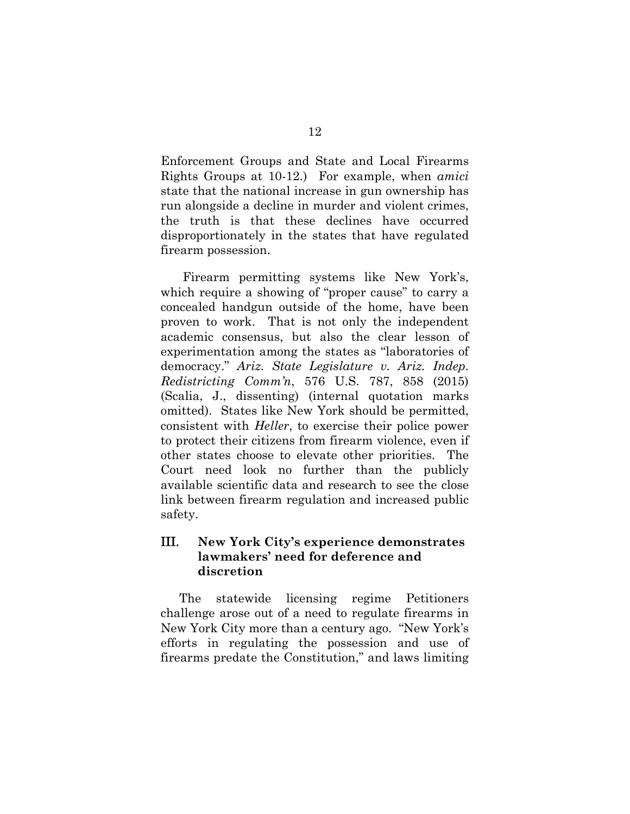Enforcement Groups and State and Local Firearms Rights Groups at 10-12.) For example, when *amici* state that the national increase in gun ownership has run alongside a decline in murder and violent crimes, the truth is that these declines have occurred disproportionately in the states that have regulated firearm possession.

 Firearm permitting systems like New York's, which require a showing of "proper cause" to carry a concealed handgun outside of the home, have been proven to work. That is not only the independent academic consensus, but also the clear lesson of experimentation among the states as "laboratories of democracy." *Ariz. State Legislature v. Ariz. Indep. Redistricting Comm'n*, 576 U.S. 787, 858 (2015) (Scalia, J., dissenting) (internal quotation marks omitted). States like New York should be permitted, consistent with *Heller*, to exercise their police power to protect their citizens from firearm violence, even if other states choose to elevate other priorities. The Court need look no further than the publicly available scientific data and research to see the close link between firearm regulation and increased public safety.

## III. **New York City's experience demonstrates lawmakers' need for deference and discretion**

The statewide licensing regime Petitioners challenge arose out of a need to regulate firearms in New York City more than a century ago. "New York's efforts in regulating the possession and use of firearms predate the Constitution," and laws limiting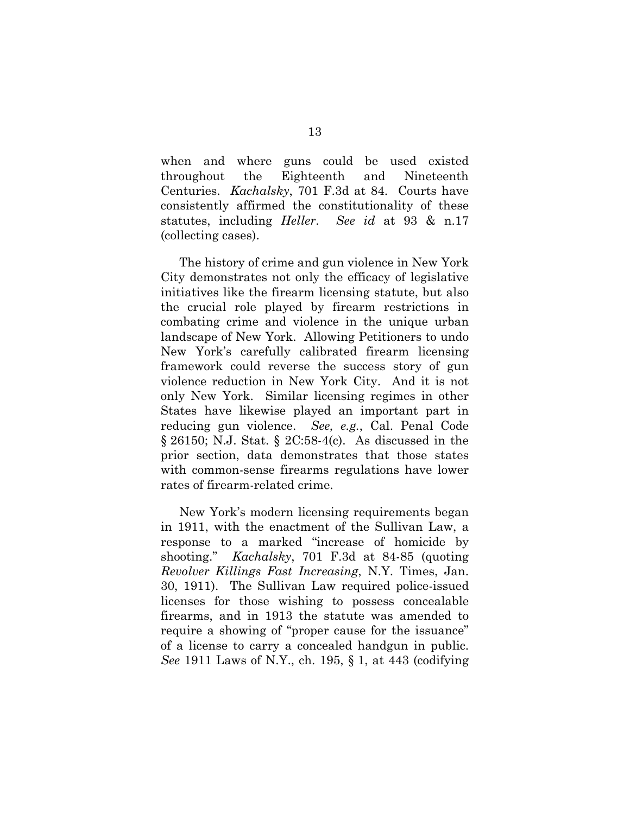when and where guns could be used existed throughout the Eighteenth and Nineteenth Centuries. *Kachalsky*, 701 F.3d at 84. Courts have consistently affirmed the constitutionality of these statutes, including *Heller*. *See id* at 93 & n.17 (collecting cases).

The history of crime and gun violence in New York City demonstrates not only the efficacy of legislative initiatives like the firearm licensing statute, but also the crucial role played by firearm restrictions in combating crime and violence in the unique urban landscape of New York. Allowing Petitioners to undo New York's carefully calibrated firearm licensing framework could reverse the success story of gun violence reduction in New York City. And it is not only New York. Similar licensing regimes in other States have likewise played an important part in reducing gun violence. *See, e.g.*, Cal. Penal Code § 26150; N.J. Stat. § 2C:58-4(c). As discussed in the prior section, data demonstrates that those states with common-sense firearms regulations have lower rates of firearm-related crime.

New York's modern licensing requirements began in 1911, with the enactment of the Sullivan Law, a response to a marked "increase of homicide by shooting." *Kachalsky*, 701 F.3d at 84-85 (quoting *Revolver Killings Fast Increasing*, N.Y. Times, Jan. 30, 1911). The Sullivan Law required police-issued licenses for those wishing to possess concealable firearms, and in 1913 the statute was amended to require a showing of "proper cause for the issuance" of a license to carry a concealed handgun in public. *See* 1911 Laws of N.Y., ch. 195, § 1, at 443 (codifying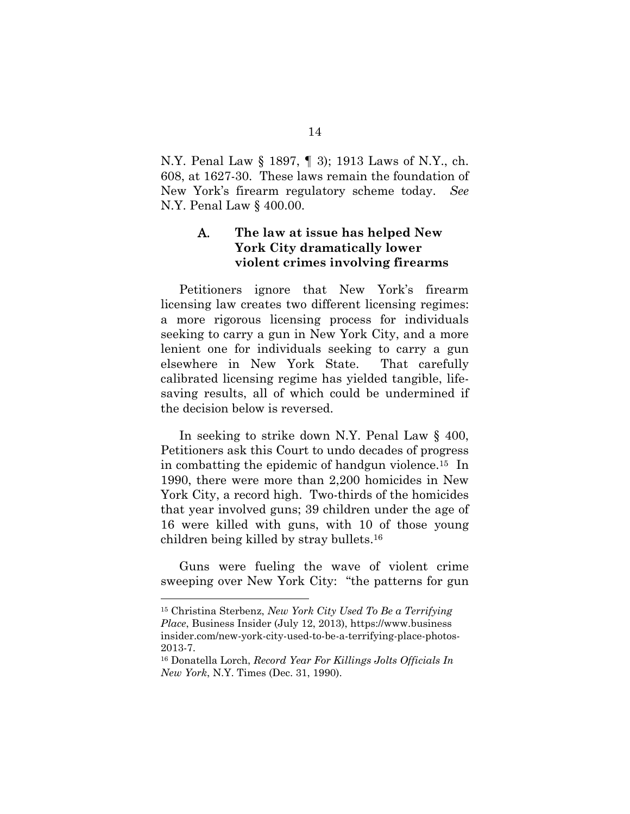N.Y. Penal Law § 1897, ¶ 3); 1913 Laws of N.Y., ch. 608, at 1627-30. These laws remain the foundation of New York's firearm regulatory scheme today. *See*  N.Y. Penal Law § 400.00.

#### A. **The law at issue has helped New York City dramatically lower violent crimes involving firearms**

Petitioners ignore that New York's firearm licensing law creates two different licensing regimes: a more rigorous licensing process for individuals seeking to carry a gun in New York City, and a more lenient one for individuals seeking to carry a gun elsewhere in New York State. That carefully calibrated licensing regime has yielded tangible, lifesaving results, all of which could be undermined if the decision below is reversed.

In seeking to strike down N.Y. Penal Law § 400, Petitioners ask this Court to undo decades of progress in combatting the epidemic of handgun violence.15 In 1990, there were more than 2,200 homicides in New York City, a record high. Two-thirds of the homicides that year involved guns; 39 children under the age of 16 were killed with guns, with 10 of those young children being killed by stray bullets.16

Guns were fueling the wave of violent crime sweeping over New York City: "the patterns for gun

<sup>15</sup> Christina Sterbenz, *New York City Used To Be a Terrifying Place*, Business Insider (July 12, 2013), https://www.business insider.com/new-york-city-used-to-be-a-terrifying-place-photos-2013-7.

<sup>16</sup> Donatella Lorch, *Record Year For Killings Jolts Officials In New York*, N.Y. Times (Dec. 31, 1990).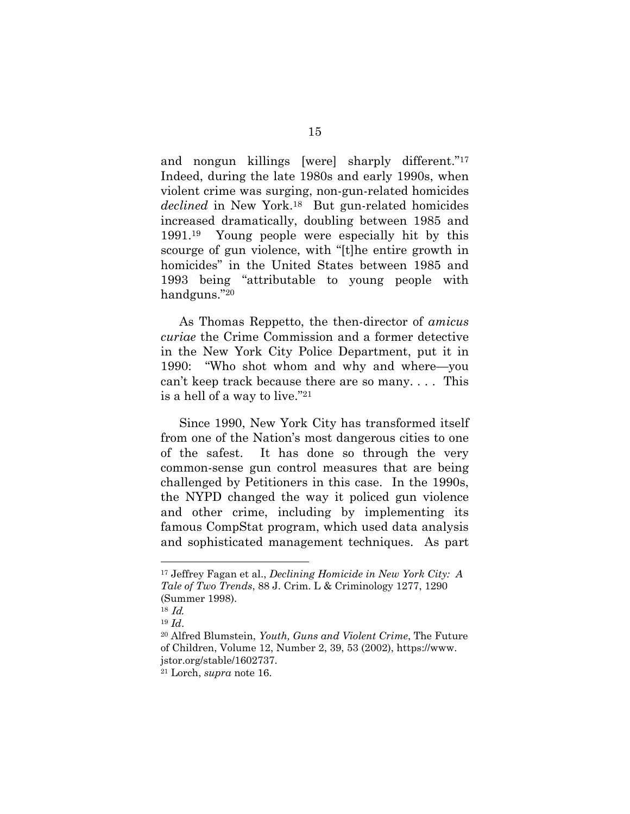and nongun killings [were] sharply different."17 Indeed, during the late 1980s and early 1990s, when violent crime was surging, non-gun-related homicides *declined* in New York.18 But gun-related homicides increased dramatically, doubling between 1985 and 1991.19 Young people were especially hit by this scourge of gun violence, with "[t]he entire growth in homicides" in the United States between 1985 and 1993 being "attributable to young people with handguns."20

As Thomas Reppetto, the then-director of *amicus curiae* the Crime Commission and a former detective in the New York City Police Department, put it in 1990: "Who shot whom and why and where—you can't keep track because there are so many. . . . This is a hell of a way to live."21

Since 1990, New York City has transformed itself from one of the Nation's most dangerous cities to one of the safest. It has done so through the very common-sense gun control measures that are being challenged by Petitioners in this case. In the 1990s, the NYPD changed the way it policed gun violence and other crime, including by implementing its famous CompStat program, which used data analysis and sophisticated management techniques. As part

<sup>17</sup> Jeffrey Fagan et al., *Declining Homicide in New York City: A Tale of Two Trends*, 88 J. Crim. L & Criminology 1277, 1290 (Summer 1998).

 $18$  *Id.* 

<sup>19</sup> *Id*. 20 Alfred Blumstein, *Youth, Guns and Violent Crime*, The Future of Children, Volume 12, Number 2, 39, 53 (2002), https://www. jstor.org/stable/1602737.

<sup>21</sup> Lorch, *supra* note 16.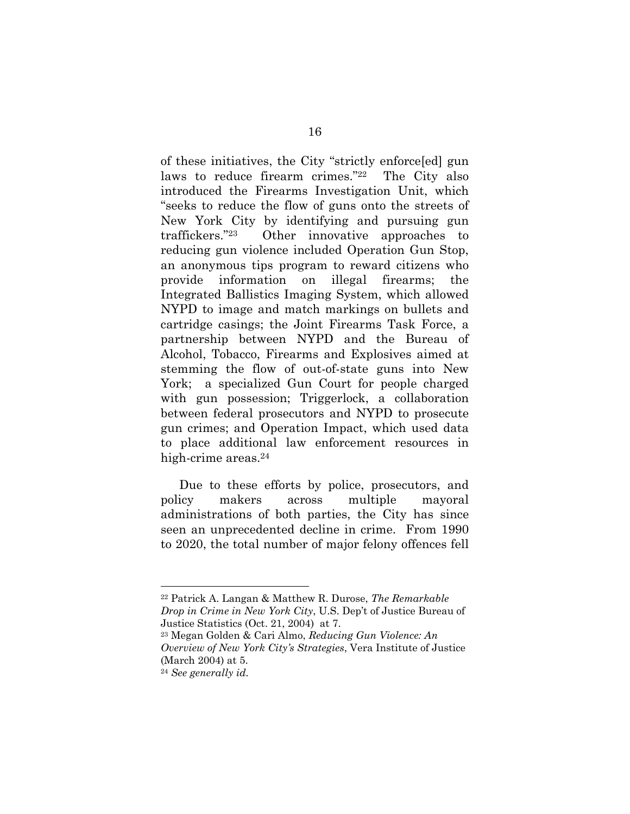of these initiatives, the City "strictly enforce[ed] gun laws to reduce firearm crimes."22 The City also introduced the Firearms Investigation Unit, which "seeks to reduce the flow of guns onto the streets of New York City by identifying and pursuing gun traffickers."23 Other innovative approaches to reducing gun violence included Operation Gun Stop, an anonymous tips program to reward citizens who provide information on illegal firearms; the Integrated Ballistics Imaging System, which allowed NYPD to image and match markings on bullets and cartridge casings; the Joint Firearms Task Force, a partnership between NYPD and the Bureau of Alcohol, Tobacco, Firearms and Explosives aimed at stemming the flow of out-of-state guns into New York; a specialized Gun Court for people charged with gun possession; Triggerlock, a collaboration between federal prosecutors and NYPD to prosecute gun crimes; and Operation Impact, which used data to place additional law enforcement resources in high-crime areas.<sup>24</sup>

Due to these efforts by police, prosecutors, and policy makers across multiple mayoral administrations of both parties, the City has since seen an unprecedented decline in crime. From 1990 to 2020, the total number of major felony offences fell

<sup>22</sup> Patrick A. Langan & Matthew R. Durose, *The Remarkable Drop in Crime in New York City*, U.S. Dep't of Justice Bureau of Justice Statistics (Oct. 21, 2004) at 7.

<sup>23</sup> Megan Golden & Cari Almo, *Reducing Gun Violence: An Overview of New York City's Strategies*, Vera Institute of Justice (March 2004) at 5.

<sup>24</sup> *See generally id.*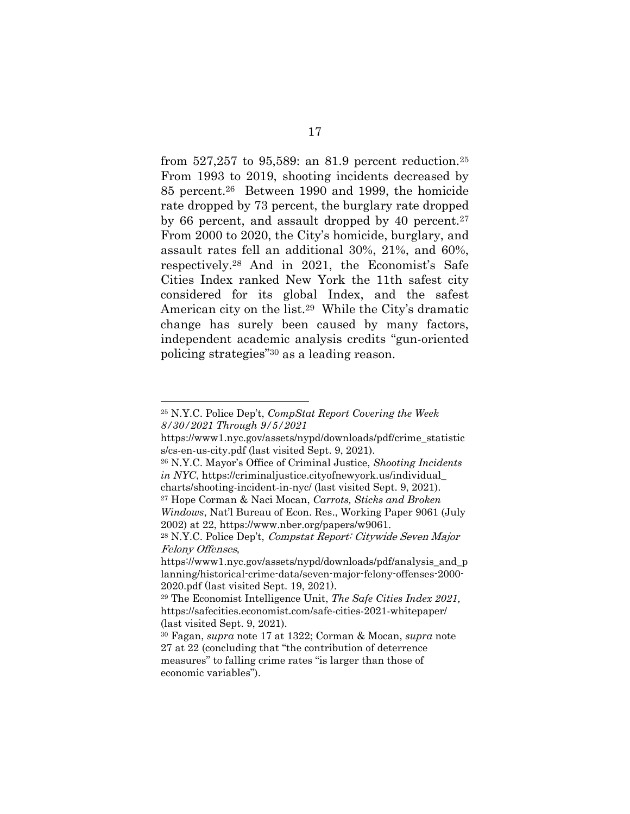from 527,257 to 95,589: an 81.9 percent reduction.25 From 1993 to 2019, shooting incidents decreased by 85 percent.26 Between 1990 and 1999, the homicide rate dropped by 73 percent, the burglary rate dropped by 66 percent, and assault dropped by 40 percent.<sup>27</sup> From 2000 to 2020, the City's homicide, burglary, and assault rates fell an additional 30%, 21%, and 60%, respectively.28 And in 2021, the Economist's Safe Cities Index ranked New York the 11th safest city considered for its global Index, and the safest American city on the list.29 While the City's dramatic change has surely been caused by many factors, independent academic analysis credits "gun-oriented policing strategies"30 as a leading reason.

<sup>25</sup> N.Y.C. Police Dep't, *CompStat Report Covering the Week 8/30/2021 Through 9/5/2021*

https://www1.nyc.gov/assets/nypd/downloads/pdf/crime\_statistic s/cs-en-us-city.pdf (last visited Sept. 9, 2021).

<sup>26</sup> N.Y.C. Mayor's Office of Criminal Justice, *Shooting Incidents in NYC*, https://criminaljustice.cityofnewyork.us/individual\_ charts/shooting-incident-in-nyc/ (last visited Sept. 9, 2021).

<sup>27</sup> Hope Corman & Naci Mocan, *Carrots, Sticks and Broken Windows*, Nat'l Bureau of Econ. Res., Working Paper 9061 (July 2002) at 22, https://www.nber.org/papers/w9061.

<sup>28</sup> N.Y.C. Police Dep't, Compstat Report: Citywide Seven Major Felony Offenses,

https://www1.nyc.gov/assets/nypd/downloads/pdf/analysis and p lanning/historical-crime-data/seven-major-felony-offenses-2000- 2020.pdf (last visited Sept. 19, 2021).

<sup>29</sup> The Economist Intelligence Unit, *The Safe Cities Index 2021,* https://safecities.economist.com/safe-cities-2021-whitepaper/ (last visited Sept. 9, 2021).

<sup>30</sup> Fagan, *supra* note 17 at 1322; Corman & Mocan, *supra* note 27 at 22 (concluding that "the contribution of deterrence measures" to falling crime rates "is larger than those of economic variables").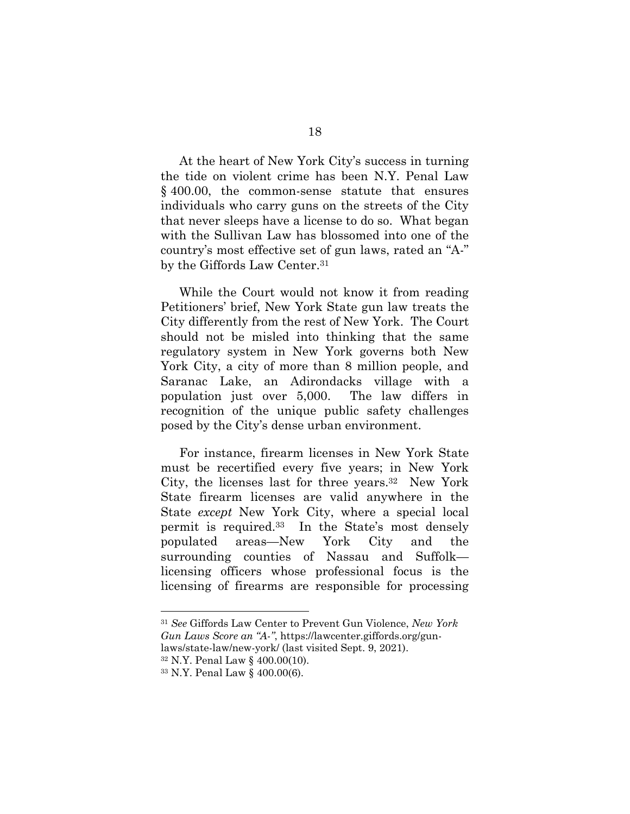At the heart of New York City's success in turning the tide on violent crime has been N.Y. Penal Law § 400.00, the common-sense statute that ensures individuals who carry guns on the streets of the City that never sleeps have a license to do so. What began with the Sullivan Law has blossomed into one of the country's most effective set of gun laws, rated an "A-" by the Giffords Law Center.<sup>31</sup>

While the Court would not know it from reading Petitioners' brief, New York State gun law treats the City differently from the rest of New York. The Court should not be misled into thinking that the same regulatory system in New York governs both New York City, a city of more than 8 million people, and Saranac Lake, an Adirondacks village with a population just over 5,000. The law differs in recognition of the unique public safety challenges posed by the City's dense urban environment.

For instance, firearm licenses in New York State must be recertified every five years; in New York City, the licenses last for three years.32 New York State firearm licenses are valid anywhere in the State *except* New York City, where a special local permit is required.33 In the State's most densely populated areas—New York City and the surrounding counties of Nassau and Suffolk licensing officers whose professional focus is the licensing of firearms are responsible for processing

<sup>31</sup> *See* Giffords Law Center to Prevent Gun Violence, *New York Gun Laws Score an "A-"*, https://lawcenter.giffords.org/gun-

laws/state-law/new-york/ (last visited Sept. 9, 2021).

<sup>32</sup> N.Y. Penal Law § 400.00(10).

<sup>33</sup> N.Y. Penal Law § 400.00(6).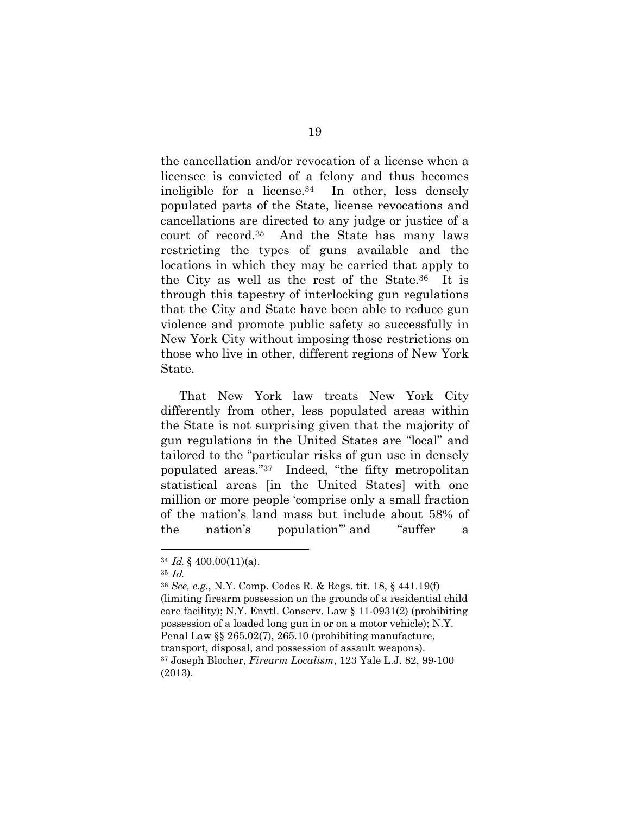the cancellation and/or revocation of a license when a licensee is convicted of a felony and thus becomes ineligible for a license.<sup>34</sup> In other, less densely populated parts of the State, license revocations and cancellations are directed to any judge or justice of a court of record.35 And the State has many laws restricting the types of guns available and the locations in which they may be carried that apply to the City as well as the rest of the State.36 It is through this tapestry of interlocking gun regulations that the City and State have been able to reduce gun violence and promote public safety so successfully in New York City without imposing those restrictions on those who live in other, different regions of New York State.

That New York law treats New York City differently from other, less populated areas within the State is not surprising given that the majority of gun regulations in the United States are "local" and tailored to the "particular risks of gun use in densely populated areas."37 Indeed, "the fifty metropolitan statistical areas [in the United States] with one million or more people 'comprise only a small fraction of the nation's land mass but include about 58% of the nation's population'" and "suffer a

<sup>34</sup> Id. § 400.00(11)(a).

<sup>35</sup> Id.

<sup>36</sup> *See, e.g.*, N.Y. Comp. Codes R. & Regs. tit. 18, § 441.19(f) (limiting firearm possession on the grounds of a residential child care facility); N.Y. Envtl. Conserv. Law § 11-0931(2) (prohibiting possession of a loaded long gun in or on a motor vehicle); N.Y. Penal Law §§ 265.02(7), 265.10 (prohibiting manufacture, transport, disposal, and possession of assault weapons). 37 Joseph Blocher, *Firearm Localism*, 123 Yale L.J. 82, 99-100 (2013).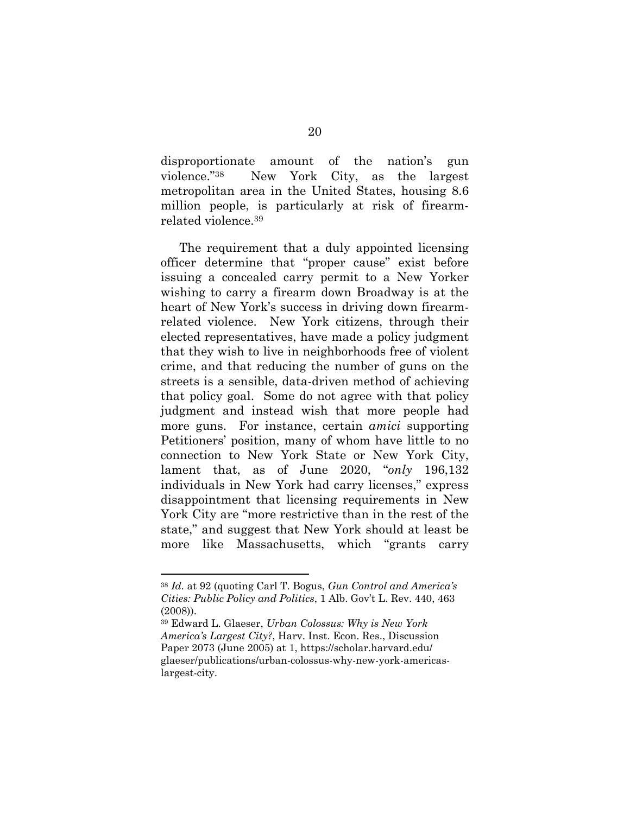disproportionate amount of the nation's gun violence."38 New York City, as the largest metropolitan area in the United States, housing 8.6 million people, is particularly at risk of firearmrelated violence.39

The requirement that a duly appointed licensing officer determine that "proper cause" exist before issuing a concealed carry permit to a New Yorker wishing to carry a firearm down Broadway is at the heart of New York's success in driving down firearmrelated violence. New York citizens, through their elected representatives, have made a policy judgment that they wish to live in neighborhoods free of violent crime, and that reducing the number of guns on the streets is a sensible, data-driven method of achieving that policy goal. Some do not agree with that policy judgment and instead wish that more people had more guns. For instance, certain *amici* supporting Petitioners' position, many of whom have little to no connection to New York State or New York City, lament that, as of June 2020, "*only* 196,132 individuals in New York had carry licenses," express disappointment that licensing requirements in New York City are "more restrictive than in the rest of the state," and suggest that New York should at least be more like Massachusetts, which "grants carry

<sup>38</sup> *Id.* at 92 (quoting Carl T. Bogus, *Gun Control and America's Cities: Public Policy and Politics*, 1 Alb. Gov't L. Rev. 440, 463 (2008)).

<sup>39</sup> Edward L. Glaeser, *Urban Colossus: Why is New York America's Largest City?*, Harv. Inst. Econ. Res., Discussion Paper 2073 (June 2005) at 1, https://scholar.harvard.edu/ glaeser/publications/urban-colossus-why-new-york-americaslargest-city.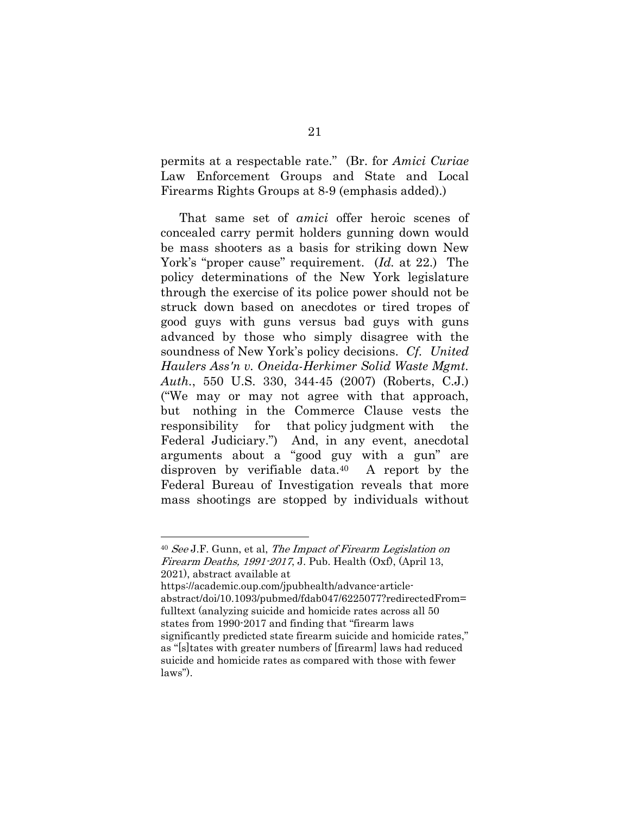permits at a respectable rate." (Br. for *Amici Curiae* Law Enforcement Groups and State and Local Firearms Rights Groups at 8-9 (emphasis added).)

That same set of *amici* offer heroic scenes of concealed carry permit holders gunning down would be mass shooters as a basis for striking down New York's "proper cause" requirement. (*Id.* at 22.) The policy determinations of the New York legislature through the exercise of its police power should not be struck down based on anecdotes or tired tropes of good guys with guns versus bad guys with guns advanced by those who simply disagree with the soundness of New York's policy decisions. *Cf. United Haulers Ass'n v. Oneida-Herkimer Solid Waste Mgmt. Auth.*, 550 U.S. 330, 344-45 (2007) (Roberts, C.J.) ("We may or may not agree with that approach, but nothing in the Commerce Clause vests the responsibility for that policy judgment with the Federal Judiciary.") And, in any event, anecdotal arguments about a "good guy with a gun" are disproven by verifiable data.40 A report by the Federal Bureau of Investigation reveals that more mass shootings are stopped by individuals without

<sup>40</sup> See J.F. Gunn, et al, The Impact of Firearm Legislation on *Firearm Deaths, 1991-2017, J. Pub. Health (Oxf), (April 13,* 2021), abstract available at https://academic.oup.com/jpubhealth/advance-articleabstract/doi/10.1093/pubmed/fdab047/6225077?redirectedFrom= fulltext (analyzing suicide and homicide rates across all 50 states from 1990-2017 and finding that "firearm laws significantly predicted state firearm suicide and homicide rates," as "[s]tates with greater numbers of [firearm] laws had reduced suicide and homicide rates as compared with those with fewer laws").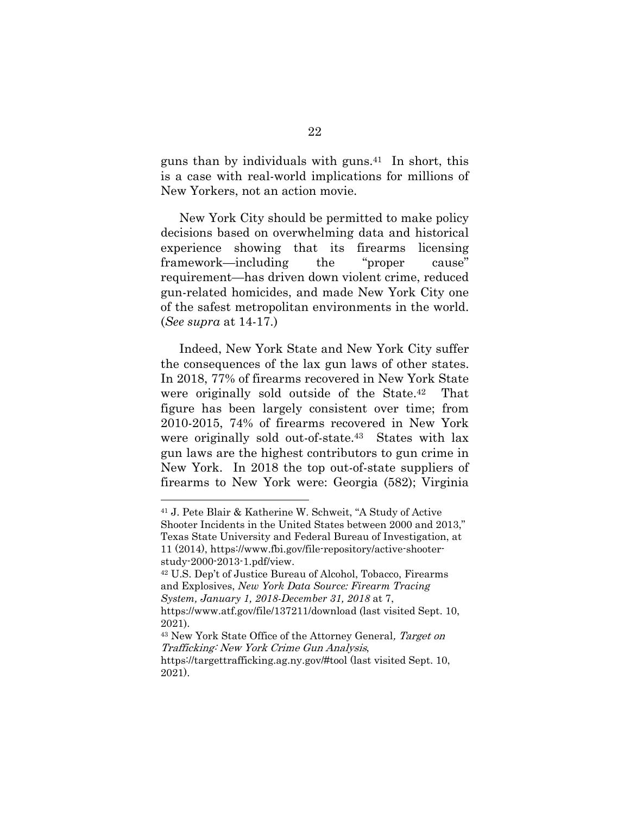guns than by individuals with guns.<sup>41</sup> In short, this is a case with real-world implications for millions of New Yorkers, not an action movie.

New York City should be permitted to make policy decisions based on overwhelming data and historical experience showing that its firearms licensing framework—including the "proper cause" requirement—has driven down violent crime, reduced gun-related homicides, and made New York City one of the safest metropolitan environments in the world. (*See supra* at 14-17.)

Indeed, New York State and New York City suffer the consequences of the lax gun laws of other states. In 2018, 77% of firearms recovered in New York State were originally sold outside of the State.42 That figure has been largely consistent over time; from 2010-2015, 74% of firearms recovered in New York were originally sold out-of-state.<sup>43</sup> States with lax gun laws are the highest contributors to gun crime in New York. In 2018 the top out-of-state suppliers of firearms to New York were: Georgia (582); Virginia

<sup>41</sup> J. Pete Blair & Katherine W. Schweit, "A Study of Active Shooter Incidents in the United States between 2000 and 2013," Texas State University and Federal Bureau of Investigation, at 11 (2014), https://www.fbi.gov/file-repository/active-shooterstudy-2000-2013-1.pdf/view.

<sup>42</sup> U.S. Dep't of Justice Bureau of Alcohol, Tobacco, Firearms and Explosives, *New York Data Source: Firearm Tracing System, January 1, 2018-December 31, 2018* at 7, https://www.atf.gov/file/137211/download (last visited Sept. 10,

<sup>2021).</sup> 

<sup>43</sup> New York State Office of the Attorney General, Target on Trafficking: New York Crime Gun Analysis,

https://targettrafficking.ag.ny.gov/#tool (last visited Sept. 10, 2021).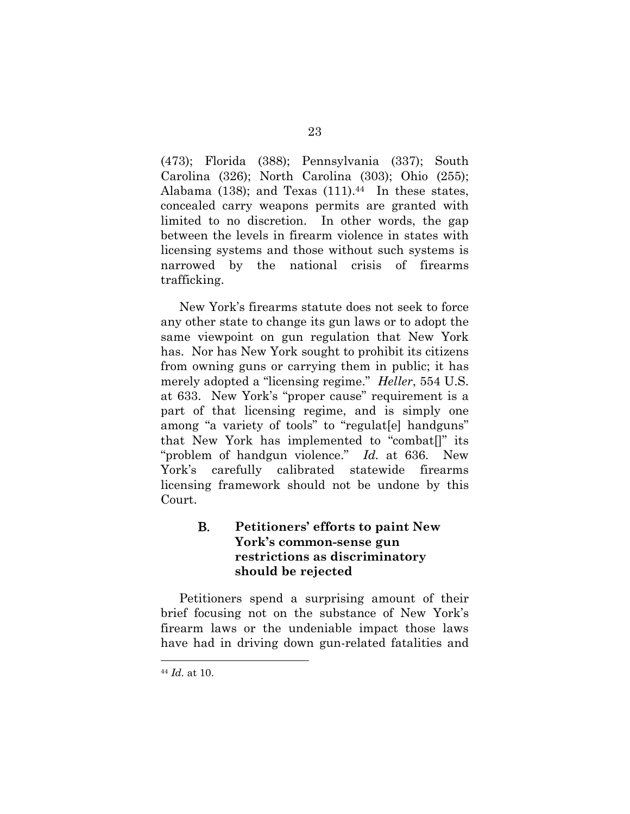(473); Florida (388); Pennsylvania (337); South Carolina (326); North Carolina (303); Ohio (255); Alabama (138); and Texas  $(111).44$  In these states, concealed carry weapons permits are granted with limited to no discretion. In other words, the gap between the levels in firearm violence in states with licensing systems and those without such systems is narrowed by the national crisis of firearms trafficking.

New York's firearms statute does not seek to force any other state to change its gun laws or to adopt the same viewpoint on gun regulation that New York has. Nor has New York sought to prohibit its citizens from owning guns or carrying them in public; it has merely adopted a "licensing regime." *Heller*, 554 U.S. at 633. New York's "proper cause" requirement is a part of that licensing regime, and is simply one among "a variety of tools" to "regulat[e] handguns" that New York has implemented to "combat[]" its "problem of handgun violence." *Id.* at 636. New York's carefully calibrated statewide firearms licensing framework should not be undone by this Court.

## B. **Petitioners' efforts to paint New York's common-sense gun restrictions as discriminatory should be rejected**

Petitioners spend a surprising amount of their brief focusing not on the substance of New York's firearm laws or the undeniable impact those laws have had in driving down gun-related fatalities and

<sup>44</sup> *Id.* at 10.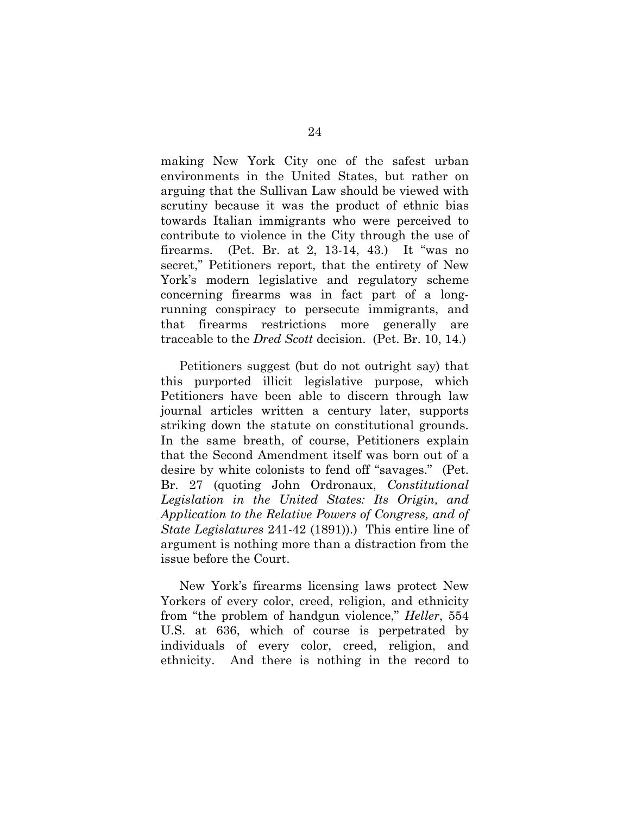making New York City one of the safest urban environments in the United States, but rather on arguing that the Sullivan Law should be viewed with scrutiny because it was the product of ethnic bias towards Italian immigrants who were perceived to contribute to violence in the City through the use of firearms. (Pet. Br. at 2, 13-14, 43.) It "was no secret," Petitioners report, that the entirety of New York's modern legislative and regulatory scheme concerning firearms was in fact part of a longrunning conspiracy to persecute immigrants, and that firearms restrictions more generally are traceable to the *Dred Scott* decision. (Pet. Br. 10, 14.)

Petitioners suggest (but do not outright say) that this purported illicit legislative purpose, which Petitioners have been able to discern through law journal articles written a century later, supports striking down the statute on constitutional grounds. In the same breath, of course, Petitioners explain that the Second Amendment itself was born out of a desire by white colonists to fend off "savages." (Pet. Br. 27 (quoting John Ordronaux, *Constitutional Legislation in the United States: Its Origin, and Application to the Relative Powers of Congress, and of State Legislatures* 241-42 (1891)).) This entire line of argument is nothing more than a distraction from the issue before the Court.

New York's firearms licensing laws protect New Yorkers of every color, creed, religion, and ethnicity from "the problem of handgun violence," *Heller*, 554 U.S. at 636, which of course is perpetrated by individuals of every color, creed, religion, and ethnicity. And there is nothing in the record to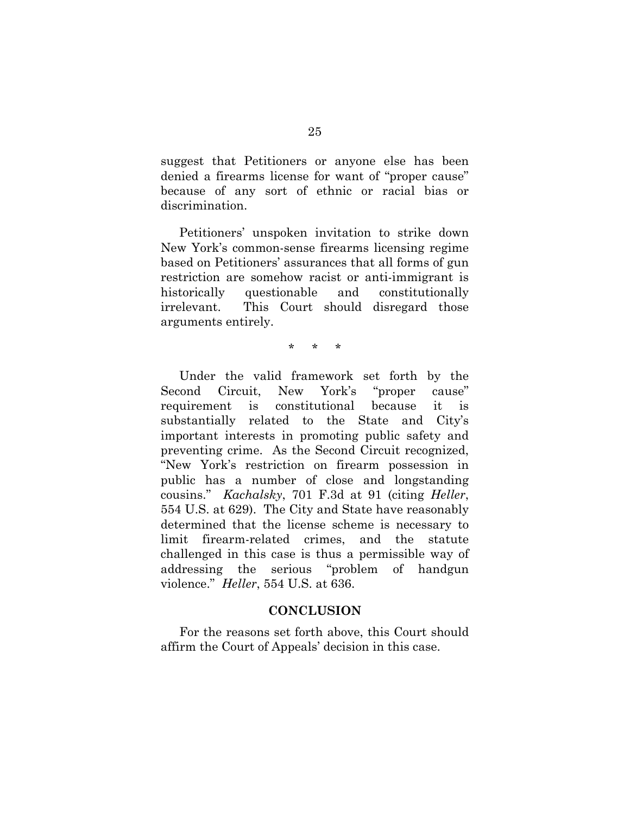suggest that Petitioners or anyone else has been denied a firearms license for want of "proper cause" because of any sort of ethnic or racial bias or discrimination.

Petitioners' unspoken invitation to strike down New York's common-sense firearms licensing regime based on Petitioners' assurances that all forms of gun restriction are somehow racist or anti-immigrant is historically questionable and constitutionally irrelevant. This Court should disregard those arguments entirely.

\* \* \*

Under the valid framework set forth by the Second Circuit, New York's "proper cause" requirement is constitutional because it is substantially related to the State and City's important interests in promoting public safety and preventing crime. As the Second Circuit recognized, "New York's restriction on firearm possession in public has a number of close and longstanding cousins." *Kachalsky*, 701 F.3d at 91 (citing *Heller*, 554 U.S. at 629). The City and State have reasonably determined that the license scheme is necessary to limit firearm-related crimes, and the statute challenged in this case is thus a permissible way of addressing the serious "problem of handgun violence." *Heller*, 554 U.S. at 636.

#### **CONCLUSION**

For the reasons set forth above, this Court should affirm the Court of Appeals' decision in this case.